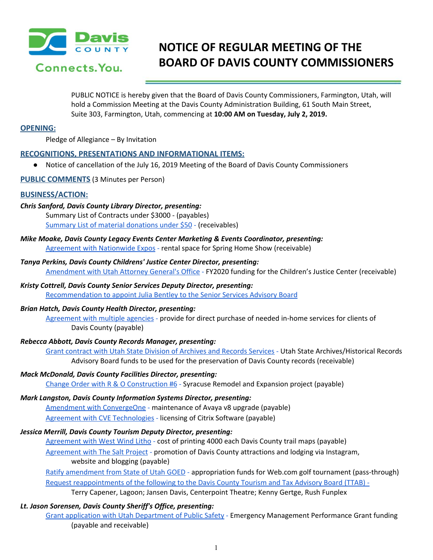

# **NOTICE OF REGULAR MEETING OF THE BOARD OF DAVIS COUNTY COMMISSIONERS**

PUBLIC NOTICE is hereby given that the Board of Davis County Commissioners, Farmington, Utah, will hold a Commission Meeting at the Davis County Administration Building, 61 South Main Street, Suite 303, Farmington, Utah, commencing at **10:00 AM on Tuesday, July 2, 2019.**

## **OPENING:**

Pledge of Allegiance – By Invitation

## **RECOGNITIONS, PRESENTATIONS AND INFORMATIONAL ITEMS:**

● Notice of cancellation of the July 16, 2019 Meeting of the Board of Davis County Commissioners

#### **PUBLIC COMMENTS** (3 Minutes per Person)

## **BUSINESS/ACTION:**

## *Chris Sanford, Davis County Library Director, presenting:*

Summary List of Contracts under \$3000 - (payables) Summary List of material [donations](https://drive.google.com/a/co.davis.ut.us/file/d/18iSP1autI2vdVaW7wiHz7TNOAyrcNjTm/view?usp=drivesdk) under \$50 [-](https://drive.google.com/a/co.davis.ut.us/file/d/18iSP1autI2vdVaW7wiHz7TNOAyrcNjTm/view?usp=drivesdk) (receivables)

*Mike Moake, Davis County Legacy Events Center Marketing & Events Coordinator, presenting:*

Agreement with [Nationwide](https://drive.google.com/a/co.davis.ut.us/file/d/1g-Eo3FCoHoKXUAyJ-7yoV7fn4OcZgvLo/view?usp=drivesdk) Expos [-](https://drive.google.com/a/co.davis.ut.us/file/d/1g-Eo3FCoHoKXUAyJ-7yoV7fn4OcZgvLo/view?usp=drivesdk) rental space for Spring Home Show (receivable)

*Tanya Perkins, Davis County Childrens' Justice Center Director, presenting:* [Amendment](https://drive.google.com/a/co.davis.ut.us/file/d/1_4EySymE0Z-cmeWs1IJuTKiZIIodKmpu/view?usp=drivesdk) with Utah Attorney General's Office [-](https://drive.google.com/a/co.davis.ut.us/file/d/1_4EySymE0Z-cmeWs1IJuTKiZIIodKmpu/view?usp=drivesdk) FY2020 funding for the Children's Justice Center (receivable)

## *Kristy Cottrell, Davis County Senior Services Deputy Director, presenting:*

[Recommendation](https://drive.google.com/a/co.davis.ut.us/file/d/1aGj-StmRU2t2MVcPNEMz1HZDPv8FQAe3/view?usp=drivesdk) to appoint Julia Bentley to the Senior Services Advisory Board

## *Brian Hatch, Davis County Health Director, presenting:*

[Agreement](https://drive.google.com/a/co.davis.ut.us/file/d/102PiQoLmpeuGbYFRHKTQwhlktMIbyBVV/view?usp=drivesdk) with multiple agencies [-](https://drive.google.com/a/co.davis.ut.us/file/d/102PiQoLmpeuGbYFRHKTQwhlktMIbyBVV/view?usp=drivesdk) provide for direct purchase of needed in-home services for clients of Davis County (payable)

## *Rebecca Abbott, Davis County Records Manager, presenting:*

Grant contract with Utah State Division of [Archives](https://drive.google.com/a/co.davis.ut.us/file/d/1Hp0VpGRx3KhIJ3ZK5JQgGZJxq2ahmMCU/view?usp=drivesdk) and Records Services [-](https://drive.google.com/a/co.davis.ut.us/file/d/1Hp0VpGRx3KhIJ3ZK5JQgGZJxq2ahmMCU/view?usp=drivesdk) Utah State Archives/Historical Records Advisory Board funds to be used for the preservation of Davis County records (receivable)

#### *Mack McDonald, Davis County Facilities Director, presenting:*

Change Order with R & O [Construction](https://drive.google.com/a/co.davis.ut.us/file/d/1c-076zE9HHxtMltkNvLfXvPU4psdSXYS/view?usp=drivesdk) #6 [-](https://drive.google.com/a/co.davis.ut.us/file/d/1c-076zE9HHxtMltkNvLfXvPU4psdSXYS/view?usp=drivesdk) Syracuse Remodel and Expansion project (payable)

## *Mark Langston, Davis County Information Systems Director, presenting:*

Amendment with [ConvergeOne](https://drive.google.com/a/co.davis.ut.us/file/d/1_1qD0Yw49AgBJA4a5vsJ8UjGlGXstUkU/view?usp=drivesdk) [-](https://drive.google.com/a/co.davis.ut.us/file/d/1_1qD0Yw49AgBJA4a5vsJ8UjGlGXstUkU/view?usp=drivesdk) maintenance of Avaya v8 upgrade (payable) Agreement with CVE [Technologies](https://drive.google.com/a/co.davis.ut.us/file/d/1nXaDS0u1JLNV6EWu1t4cMtxKOwdtvlJr/view?usp=drivesdk) [-](https://drive.google.com/a/co.davis.ut.us/file/d/1nXaDS0u1JLNV6EWu1t4cMtxKOwdtvlJr/view?usp=drivesdk) licensing of Citrix Software (payable)

## *Jessica Merrill, Davis County Tourism Deputy Director, presenting:*

[Agreement](https://drive.google.com/a/co.davis.ut.us/file/d/1PgGFhSvuS0xADrgwxs4OVIJypxAgR4XV/view?usp=drivesdk) with West Wind Litho [-](https://drive.google.com/a/co.davis.ut.us/file/d/1PgGFhSvuS0xADrgwxs4OVIJypxAgR4XV/view?usp=drivesdk) cost of printing 4000 each Davis County trail maps (payable) [Agreement](https://drive.google.com/a/co.davis.ut.us/file/d/1bEXjxbk6gzYaKcRH3B5uC3m7Z_0veC1F/view?usp=drivesdk) with The Salt Project [-](https://drive.google.com/a/co.davis.ut.us/file/d/1bEXjxbk6gzYaKcRH3B5uC3m7Z_0veC1F/view?usp=drivesdk) promotion of Davis County attractions and lodging via Instagram, website and blogging (payable)

Ratify [amendment](https://drive.google.com/a/co.davis.ut.us/file/d/1EGJcrlxBfRBszVzr8fnbtY_Pg80VaOrW/view?usp=drivesdk) from State of Utah GOED [-](https://drive.google.com/a/co.davis.ut.us/file/d/1EGJcrlxBfRBszVzr8fnbtY_Pg80VaOrW/view?usp=drivesdk) appropriation funds for Web.com golf tournament (pass-through) Request [reappointments](https://drive.google.com/a/co.davis.ut.us/file/d/1zVfRIeB5I6ZVKSPeUFkyhkv-_qJxeGgi/view?usp=drivesdk) of the following to the Davis County Tourism and Tax Advisory Board (TTAB) - Terry Capener, Lagoon; Jansen Davis, Centerpoint Theatre; Kenny Gertge, Rush Funplex

## *Lt. Jason Sorensen, Davis County Sheriff's Office, presenting:*

Grant application with Utah [Department](https://drive.google.com/a/co.davis.ut.us/file/d/1p2bF6kNpdJQLSd9XOtv_U-cu1BPmxVpN/view?usp=drivesdk) of Public Safety [-](https://drive.google.com/a/co.davis.ut.us/file/d/1p2bF6kNpdJQLSd9XOtv_U-cu1BPmxVpN/view?usp=drivesdk) Emergency Management Performance Grant funding (payable and receivable)